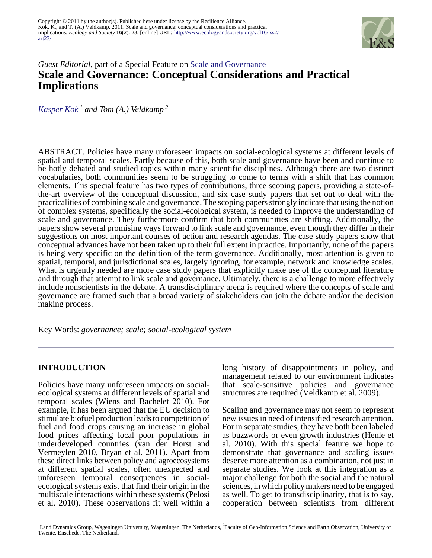

# *Guest Editorial*, part of a Special Feature on [Scale and Governance](http://www.ecologyandsociety.org/viewissue.php?sf=57) **Scale and Governance: Conceptual Considerations and Practical Implications**

*[Kasper Kok](mailto:Kasper.Kok@wur.nl)<sup>1</sup> and Tom (A.) Veldkamp<sup>2</sup>*

ABSTRACT. Policies have many unforeseen impacts on social-ecological systems at different levels of spatial and temporal scales. Partly because of this, both scale and governance have been and continue to be hotly debated and studied topics within many scientific disciplines. Although there are two distinct vocabularies, both communities seem to be struggling to come to terms with a shift that has common elements. This special feature has two types of contributions, three scoping papers, providing a state-ofthe-art overview of the conceptual discussion, and six case study papers that set out to deal with the practicalities of combining scale and governance. The scoping papers strongly indicate that using the notion of complex systems, specifically the social-ecological system, is needed to improve the understanding of scale and governance. They furthermore confirm that both communities are shifting. Additionally, the papers show several promising ways forward to link scale and governance, even though they differ in their suggestions on most important courses of action and research agendas. The case study papers show that conceptual advances have not been taken up to their full extent in practice. Importantly, none of the papers is being very specific on the definition of the term governance. Additionally, most attention is given to spatial, temporal, and jurisdictional scales, largely ignoring, for example, network and knowledge scales. What is urgently needed are more case study papers that explicitly make use of the conceptual literature and through that attempt to link scale and governance. Ultimately, there is a challenge to more effectively include nonscientists in the debate. A transdisciplinary arena is required where the concepts of scale and governance are framed such that a broad variety of stakeholders can join the debate and/or the decision making process.

Key Words: *governance; scale; social-ecological system*

#### **INTRODUCTION**

Policies have many unforeseen impacts on socialecological systems at different levels of spatial and temporal scales (Wiens and Bachelet 2010). For example, it has been argued that the EU decision to stimulate biofuel production leads to competition of fuel and food crops causing an increase in global food prices affecting local poor populations in underdeveloped countries (van der Horst and Vermeylen 2010, Bryan et al. 2011). Apart from these direct links between policy and agroecosystems at different spatial scales, often unexpected and unforeseen temporal consequences in socialecological systems exist that find their origin in the multiscale interactions within these systems (Pelosi et al. 2010). These observations fit well within a

long history of disappointments in policy, and management related to our environment indicates that scale-sensitive policies and governance structures are required (Veldkamp et al. 2009).

Scaling and governance may not seem to represent new issues in need of intensified research attention. For in separate studies, they have both been labeled as buzzwords or even growth industries (Henle et al. 2010). With this special feature we hope to demonstrate that governance and scaling issues deserve more attention as a combination, not just in separate studies. We look at this integration as a major challenge for both the social and the natural sciences, in which policy makers need to be engaged as well. To get to transdisciplinarity, that is to say, cooperation between scientists from different

<sup>&</sup>lt;sup>1</sup>Land Dynamics Group, Wageningen University, Wageningen, The Netherlands, <sup>2</sup>Faculty of Geo-Information Science and Earth Observation, University of Twente, Enschede, The Netherlands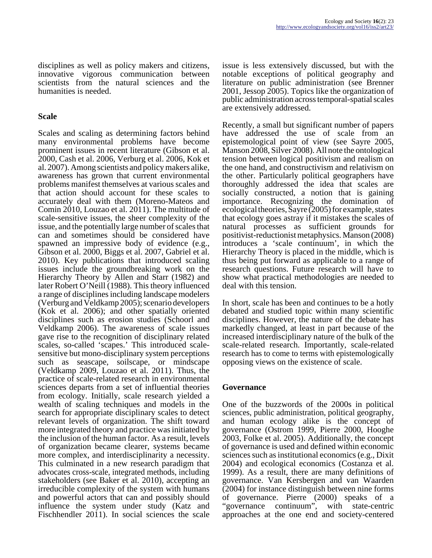disciplines as well as policy makers and citizens, innovative vigorous communication between scientists from the natural sciences and the humanities is needed.

#### **Scale**

Scales and scaling as determining factors behind many environmental problems have become prominent issues in recent literature (Gibson et al. 2000, Cash et al. 2006, Verburg et al. 2006, Kok et al. 2007). Among scientists and policy makers alike, awareness has grown that current environmental problems manifest themselves at various scales and that action should account for these scales to accurately deal with them (Moreno-Mateos and Comin 2010, Louzao et al. 2011). The multitude of scale-sensitive issues, the sheer complexity of the issue, and the potentially large number of scales that can and sometimes should be considered have spawned an impressive body of evidence (e.g., Gibson et al. 2000, Biggs et al. 2007, Gabriel et al. 2010). Key publications that introduced scaling issues include the groundbreaking work on the Hierarchy Theory by Allen and Starr (1982) and later Robert O'Neill (1988). This theory influenced a range of disciplines including landscape modelers (Verburg and Veldkamp 2005); scenario developers (Kok et al. 2006); and other spatially oriented disciplines such as erosion studies (Schoorl and Veldkamp 2006). The awareness of scale issues gave rise to the recognition of disciplinary related scales, so-called 'scapes.' This introduced scalesensitive but mono-disciplinary system perceptions such as seascape, soilscape, or mindscape (Veldkamp 2009, Louzao et al. 2011). Thus, the practice of scale-related research in environmental sciences departs from a set of influential theories from ecology. Initially, scale research yielded a wealth of scaling techniques and models in the search for appropriate disciplinary scales to detect relevant levels of organization. The shift toward more integrated theory and practice was initiated by the inclusion of the human factor. As a result, levels of organization became clearer, systems became more complex, and interdisciplinarity a necessity. This culminated in a new research paradigm that advocates cross-scale, integrated methods, including stakeholders (see Baker et al. 2010), accepting an irreducible complexity of the system with humans and powerful actors that can and possibly should influence the system under study (Katz and Fischhendler 2011). In social sciences the scale

issue is less extensively discussed, but with the notable exceptions of political geography and literature on public administration (see Brenner 2001, Jessop 2005). Topics like the organization of public administration across temporal-spatial scales are extensively addressed.

Recently, a small but significant number of papers have addressed the use of scale from an epistemological point of view (see Sayre 2005, Manson 2008, Silver 2008). All note the ontological tension between logical positivism and realism on the one hand, and constructivism and relativism on the other. Particularly political geographers have thoroughly addressed the idea that scales are socially constructed, a notion that is gaining importance. Recognizing the domination of ecological theories, Sayre (2005) for example, states that ecology goes astray if it mistakes the scales of natural processes as sufficient grounds for positivist-reductionist metaphysics. Manson (2008) introduces a 'scale continuum', in which the Hierarchy Theory is placed in the middle, which is thus being put forward as applicable to a range of research questions. Future research will have to show what practical methodologies are needed to deal with this tension.

In short, scale has been and continues to be a hotly debated and studied topic within many scientific disciplines. However, the nature of the debate has markedly changed, at least in part because of the increased interdisciplinary nature of the bulk of the scale-related research. Importantly, scale-related research has to come to terms with epistemologically opposing views on the existence of scale.

#### **Governance**

One of the buzzwords of the 2000s in political sciences, public administration, political geography, and human ecology alike is the concept of governance (Ostrom 1999, Pierre 2000, Hooghe 2003, Folke et al. 2005). Additionally, the concept of governance is used and defined within economic sciences such as institutional economics (e.g., Dixit 2004) and ecological economics (Costanza et al. 1999). As a result, there are many definitions of governance. Van Kersbergen and van Waarden (2004) for instance distinguish between nine forms of governance. Pierre (2000) speaks of a "governance continuum", with state-centric approaches at the one end and society-centered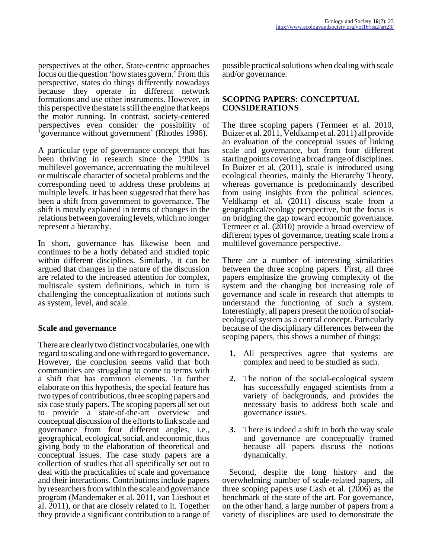perspectives at the other. State-centric approaches focus on the question 'how states govern.' From this perspective, states do things differently nowadays because they operate in different network formations and use other instruments. However, in this perspective the state is still the engine that keeps the motor running. In contrast, society-centered perspectives even consider the possibility of 'governance without government' (Rhodes 1996).

A particular type of governance concept that has been thriving in research since the 1990s is multilevel governance, accentuating the multilevel or multiscale character of societal problems and the corresponding need to address these problems at multiple levels. It has been suggested that there has been a shift from government to governance. The shift is mostly explained in terms of changes in the relations between governing levels, which no longer represent a hierarchy.

In short, governance has likewise been and continues to be a hotly debated and studied topic within different disciplines. Similarly, it can be argued that changes in the nature of the discussion are related to the increased attention for complex, multiscale system definitions, which in turn is challenging the conceptualization of notions such as system, level, and scale.

#### **Scale and governance**

There are clearly two distinct vocabularies, one with regard to scaling and one with regard to governance. However, the conclusion seems valid that both communities are struggling to come to terms with a shift that has common elements. To further elaborate on this hypothesis, the special feature has two types of contributions, three scoping papers and six case study papers. The scoping papers all set out to provide a state-of-the-art overview and conceptual discussion of the efforts to link scale and governance from four different angles, i.e., geographical, ecological, social, and economic, thus giving body to the elaboration of theoretical and conceptual issues. The case study papers are a collection of studies that all specifically set out to deal with the practicalities of scale and governance and their interactions. Contributions include papers by researchers from within the scale and governance program (Mandemaker et al. 2011, van Lieshout et al. 2011), or that are closely related to it. Together they provide a significant contribution to a range of possible practical solutions when dealing with scale and/or governance.

## **SCOPING PAPERS: CONCEPTUAL CONSIDERATIONS**

The three scoping papers (Termeer et al. 2010, Buizer et al. 2011, Veldkamp et al. 2011) all provide an evaluation of the conceptual issues of linking scale and governance, but from four different starting points covering a broad range of disciplines. In Buizer et al. (2011), scale is introduced using ecological theories, mainly the Hierarchy Theory, whereas governance is predominantly described from using insights from the political sciences. Veldkamp et al. (2011) discuss scale from a geographical/ecology perspective, but the focus is on bridging the gap toward economic governance. Termeer et al. (2010) provide a broad overview of different types of governance, treating scale from a multilevel governance perspective.

There are a number of interesting similarities between the three scoping papers. First, all three papers emphasize the growing complexity of the system and the changing but increasing role of governance and scale in research that attempts to understand the functioning of such a system. Interestingly, all papers present the notion of socialecological system as a central concept. Particularly because of the disciplinary differences between the scoping papers, this shows a number of things:

- **1.** All perspectives agree that systems are complex and need to be studied as such.
- **2.** The notion of the social-ecological system has successfully engaged scientists from a variety of backgrounds, and provides the necessary basis to address both scale and governance issues.
- **3.** There is indeed a shift in both the way scale and governance are conceptually framed because all papers discuss the notions dynamically.

 Second, despite the long history and the overwhelming number of scale-related papers, all three scoping papers use Cash et al. (2006) as the benchmark of the state of the art. For governance, on the other hand, a large number of papers from a variety of disciplines are used to demonstrate the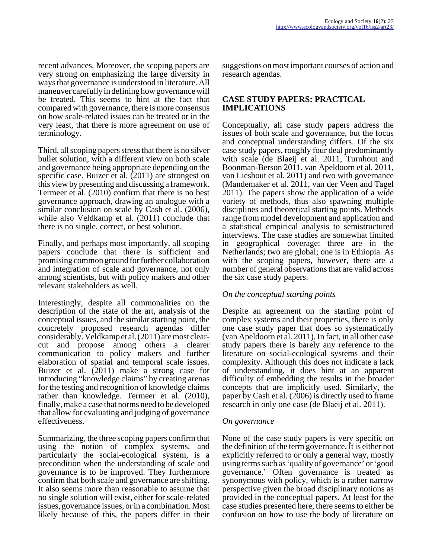recent advances. Moreover, the scoping papers are very strong on emphasizing the large diversity in ways that governance is understood in literature. All maneuver carefully in defining how governance will be treated. This seems to hint at the fact that compared with governance, there is more consensus on how scale-related issues can be treated or in the very least, that there is more agreement on use of terminology.

Third, all scoping papers stress that there is no silver bullet solution, with a different view on both scale and governance being appropriate depending on the specific case. Buizer et al. (2011) are strongest on this view by presenting and discussing a framework. Termeer et al. (2010) confirm that there is no best governance approach, drawing an analogue with a similar conclusion on scale by Cash et al. (2006), while also Veldkamp et al. (2011) conclude that there is no single, correct, or best solution.

Finally, and perhaps most importantly, all scoping papers conclude that there is sufficient and promising common ground for further collaboration and integration of scale and governance, not only among scientists, but with policy makers and other relevant stakeholders as well.

Interestingly, despite all commonalities on the description of the state of the art, analysis of the conceptual issues, and the similar starting point, the concretely proposed research agendas differ considerably. Veldkamp et al. (2011) are most clearcut and propose among others a clearer communication to policy makers and further elaboration of spatial and temporal scale issues. Buizer et al. (2011) make a strong case for introducing "knowledge claims" by creating arenas for the testing and recognition of knowledge claims rather than knowledge. Termeer et al. (2010), finally, make a case that norms need to be developed that allow for evaluating and judging of governance effectiveness.

Summarizing, the three scoping papers confirm that using the notion of complex systems, and particularly the social-ecological system, is a precondition when the understanding of scale and governance is to be improved. They furthermore confirm that both scale and governance are shifting. It also seems more than reasonable to assume that no single solution will exist, either for scale-related issues, governance issues, or in a combination. Most likely because of this, the papers differ in their

suggestions on most important courses of action and research agendas.

## **CASE STUDY PAPERS: PRACTICAL IMPLICATIONS**

Conceptually, all case study papers address the issues of both scale and governance, but the focus and conceptual understanding differs. Of the six case study papers, roughly four deal predominantly with scale (de Blaeij et al. 2011, Turnhout and Boonman-Berson 2011, van Apeldoorn et al. 2011, van Lieshout et al. 2011) and two with governance (Mandemaker et al. 2011, van der Veen and Tagel 2011). The papers show the application of a wide variety of methods, thus also spawning multiple disciplines and theoretical starting points. Methods range from model development and application and a statistical empirical analysis to semistructured interviews. The case studies are somewhat limited in geographical coverage: three are in the Netherlands; two are global; one is in Ethiopia. As with the scoping papers, however, there are a number of general observations that are valid across the six case study papers.

#### *On the conceptual starting points*

Despite an agreement on the starting point of complex systems and their properties, there is only one case study paper that does so systematically (van Apeldoorn et al. 2011). In fact, in all other case study papers there is barely any reference to the literature on social-ecological systems and their complexity. Although this does not indicate a lack of understanding, it does hint at an apparent difficulty of embedding the results in the broader concepts that are implicitly used. Similarly, the paper by Cash et al. (2006) is directly used to frame research in only one case (de Blaeij et al. 2011).

#### *On governance*

None of the case study papers is very specific on the definition of the term governance. It is either not explicitly referred to or only a general way, mostly using terms such as 'quality of governance' or 'good governance.' Often governance is treated as synonymous with policy, which is a rather narrow perspective given the broad disciplinary notions as provided in the conceptual papers. At least for the case studies presented here, there seems to either be confusion on how to use the body of literature on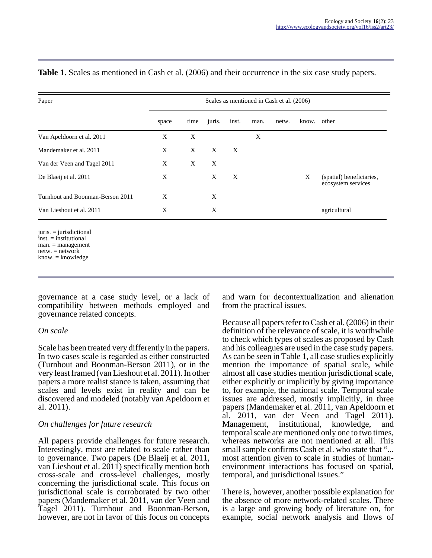| Paper                                                                                                                  |       | Scales as mentioned in Cash et al. (2006) |        |       |      |       |       |                                                |
|------------------------------------------------------------------------------------------------------------------------|-------|-------------------------------------------|--------|-------|------|-------|-------|------------------------------------------------|
|                                                                                                                        | space | time                                      | juris. | inst. | man. | netw. | know. | other                                          |
| Van Apeldoorn et al. 2011                                                                                              | X     | X                                         |        |       | X    |       |       |                                                |
| Mandemaker et al. 2011                                                                                                 | X     | X                                         | X      | X     |      |       |       |                                                |
| Van der Veen and Tagel 2011                                                                                            | X     | X                                         | X      |       |      |       |       |                                                |
| De Blaeij et al. 2011                                                                                                  | X     |                                           | X      | X     |      |       | X     | (spatial) beneficiaries,<br>ecosystem services |
| Turnhout and Boonman-Berson 2011                                                                                       | X     |                                           | X      |       |      |       |       |                                                |
| Van Lieshout et al. 2011                                                                                               | X     |                                           | X      |       |      |       |       | agricultural                                   |
| $juris. = jurisdictional$<br>$inst. = institutional$<br>$man. = management$<br>$netw = network$<br>$know. = knowledge$ |       |                                           |        |       |      |       |       |                                                |

**Table 1.** Scales as mentioned in Cash et al. (2006) and their occurrence in the six case study papers.

governance at a case study level, or a lack of compatibility between methods employed and governance related concepts.

#### *On scale*

Scale has been treated very differently in the papers. In two cases scale is regarded as either constructed (Turnhout and Boonman-Berson 2011), or in the very least framed (van Lieshout et al. 2011). In other papers a more realist stance is taken, assuming that scales and levels exist in reality and can be discovered and modeled (notably van Apeldoorn et al. 2011).

#### *On challenges for future research*

All papers provide challenges for future research. Interestingly, most are related to scale rather than to governance. Two papers (De Blaeij et al. 2011, van Lieshout et al. 2011) specifically mention both cross-scale and cross-level challenges, mostly concerning the jurisdictional scale. This focus on jurisdictional scale is corroborated by two other papers (Mandemaker et al. 2011, van der Veen and Tagel 2011). Turnhout and Boonman-Berson, however, are not in favor of this focus on concepts

and warn for decontextualization and alienation from the practical issues.

Because all papers refer to Cash et al. (2006) in their definition of the relevance of scale, it is worthwhile to check which types of scales as proposed by Cash and his colleagues are used in the case study papers. As can be seen in Table 1, all case studies explicitly mention the importance of spatial scale, while almost all case studies mention jurisdictional scale, either explicitly or implicitly by giving importance to, for example, the national scale. Temporal scale issues are addressed, mostly implicitly, in three papers (Mandemaker et al. 2011, van Apeldoorn et al. 2011, van der Veen and Tagel 2011). Management, institutional, knowledge, and temporal scale are mentioned only one to two times, whereas networks are not mentioned at all. This small sample confirms Cash et al. who state that "... most attention given to scale in studies of humanenvironment interactions has focused on spatial, temporal, and jurisdictional issues."

There is, however, another possible explanation for the absence of more network-related scales. There is a large and growing body of literature on, for example, social network analysis and flows of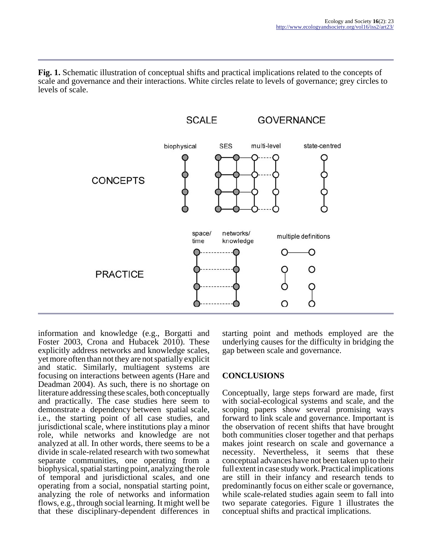**Fig. 1.** Schematic illustration of conceptual shifts and practical implications related to the concepts of scale and governance and their interactions. White circles relate to levels of governance; grey circles to levels of scale.



information and knowledge (e.g., Borgatti and Foster 2003, Crona and Hubacek 2010). These explicitly address networks and knowledge scales, yet more often than not they are not spatially explicit and static. Similarly, multiagent systems are focusing on interactions between agents (Hare and Deadman 2004). As such, there is no shortage on literature addressing these scales, both conceptually and practically. The case studies here seem to demonstrate a dependency between spatial scale, i.e., the starting point of all case studies, and jurisdictional scale, where institutions play a minor role, while networks and knowledge are not analyzed at all. In other words, there seems to be a divide in scale-related research with two somewhat separate communities, one operating from a biophysical, spatial starting point, analyzing the role of temporal and jurisdictional scales, and one operating from a social, nonspatial starting point, analyzing the role of networks and information flows, e.g., through social learning. It might well be that these disciplinary-dependent differences in

starting point and methods employed are the underlying causes for the difficulty in bridging the gap between scale and governance.

# **CONCLUSIONS**

Conceptually, large steps forward are made, first with social-ecological systems and scale, and the scoping papers show several promising ways forward to link scale and governance. Important is the observation of recent shifts that have brought both communities closer together and that perhaps makes joint research on scale and governance a necessity. Nevertheless, it seems that these conceptual advances have not been taken up to their full extent in case study work. Practical implications are still in their infancy and research tends to predominantly focus on either scale or governance, while scale-related studies again seem to fall into two separate categories. Figure 1 illustrates the conceptual shifts and practical implications.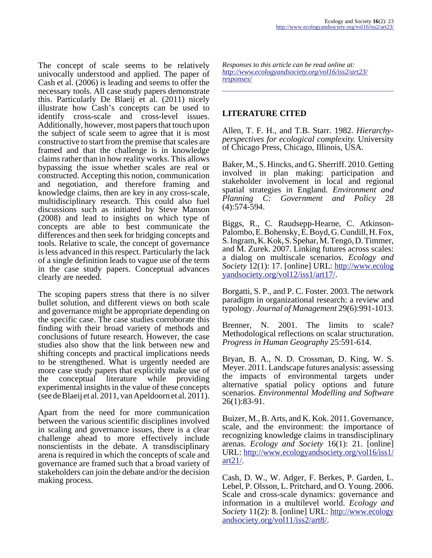The concept of scale seems to be relatively univocally understood and applied. The paper of Cash et al. (2006) is leading and seems to offer the necessary tools. All case study papers demonstrate this. Particularly De Blaeij et al. (2011) nicely illustrate how Cash's concepts can be used to identify cross-scale and cross-level issues. Additionally, however, most papers that touch upon the subject of scale seem to agree that it is most constructive to start from the premise that scales are framed and that the challenge is in knowledge claims rather than in how reality works. This allows bypassing the issue whether scales are real or constructed. Accepting this notion, communication and negotiation, and therefore framing and knowledge claims, then are key in any cross-scale, multidisciplinary research. This could also fuel discussions such as initiated by Steve Manson (2008) and lead to insights on which type of concepts are able to best communicate the differences and then seek for bridging concepts and tools. Relative to scale, the concept of governance is less advanced in this respect. Particularly the lack of a single definition leads to vague use of the term in the case study papers. Conceptual advances clearly are needed.

The scoping papers stress that there is no silver bullet solution, and different views on both scale and governance might be appropriate depending on the specific case. The case studies corroborate this finding with their broad variety of methods and conclusions of future research. However, the case studies also show that the link between new and shifting concepts and practical implications needs to be strengthened. What is urgently needed are more case study papers that explicitly make use of the conceptual literature while providing experimental insights in the value of these concepts (see de Blaeij et al. 2011, van Apeldoorn et al. 2011).

Apart from the need for more communication between the various scientific disciplines involved in scaling and governance issues, there is a clear challenge ahead to more effectively include nonscientists in the debate. A transdisciplinary arena is required in which the concepts of scale and governance are framed such that a broad variety of stakeholders can join the debate and/or the decision making process.

*Responses to this article can be read online at: [http://www](http://www.ecologyandsociety.org/vol16/iss2/art23/responses/).ecologyandsociety.org/vol16/iss2/art23/ responses/*

## **LITERATURE CITED**

Allen, T. F. H., and T.B. Starr. 1982. *Hierarchyperspectives for ecological complexity.* University of Chicago Press, Chicago, Illinois, USA.

Baker, M., S. Hincks, and G. Sherriff. 2010. Getting involved in plan making: participation and stakeholder involvement in local and regional spatial strategies in England. *Environment and Planning C: Government and Policy* 28 (4):574-594.

Biggs, R., C. Raudsepp-Hearne, C. Atkinson-Palombo, E. Bohensky, E. Boyd, G. Cundill, H. Fox, S. Ingram, K. Kok, S. Spehar, M. Tengö, D. Timmer, and M. Zurek. 2007. Linking futures across scales: a dialog on multiscale scenarios. *Ecology and Society* 12(1): 17. [online] URL: [http://www.ecolog](http://www.ecologyandsociety.org/vol12/iss1/art17/) [yandsociety.org/vol12/iss1/art17/](http://www.ecologyandsociety.org/vol12/iss1/art17/).

Borgatti, S. P., and P. C. Foster. 2003. The network paradigm in organizational research: a review and typology. *Journal of Management* 29(6):991-1013.

Brenner, N. 2001. The limits to scale? Methodological reflections on scalar structuration. *Progress in Human Geography* 25:591-614.

Bryan, B. A., N. D. Crossman, D. King, W. S. Meyer. 2011. Landscape futures analysis: assessing the impacts of environmental targets under alternative spatial policy options and future scenarios. *Environmental Modelling and Software* 26(1):83-91.

Buizer, M., B. Arts, and K. Kok. 2011. Governance, scale, and the environment: the importance of recognizing knowledge claims in transdisciplinary arenas. *Ecology and Society* 16(1): 21. [online] URL: [http://www.ecologyandsociety.org/vol16/iss1/](http://www.ecologyandsociety.org/vol16/iss1/art21/) [art21/.](http://www.ecologyandsociety.org/vol16/iss1/art21/)

Cash, D. W., W. Adger, F. Berkes, P. Garden, L. Lebel, P. Olsson, L. Pritchard, and O. Young. 2006. Scale and cross-scale dynamics: governance and information in a multilevel world. *Ecology and Society* 11(2): 8. [online] URL: [http://www.ecology](http://www.ecologyandsociety.org/vol11/iss2/art8/) [andsociety.org/vol11/iss2/art8/](http://www.ecologyandsociety.org/vol11/iss2/art8/).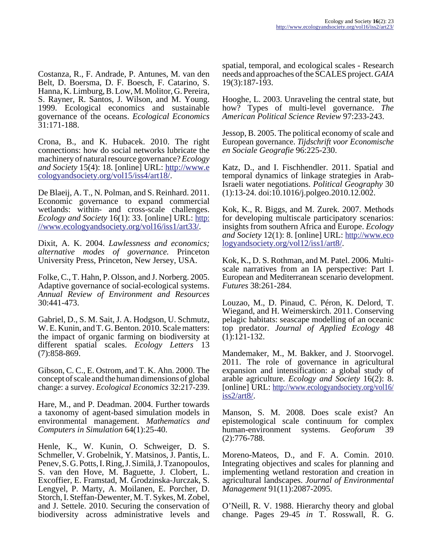Costanza, R., F. Andrade, P. Antunes, M. van den Belt, D. Boersma, D. F. Boesch, F. Catarino, S. Hanna, K. Limburg, B. Low, M. Molitor, G. Pereira, S. Rayner, R. Santos, J. Wilson, and M. Young. 1999. Ecological economics and sustainable governance of the oceans. *Ecological Economics* 31:171-188.

Crona, B., and K. Hubacek. 2010. The right connections: how do social networks lubricate the machinery of natural resource governance? *Ecology and Society* 15(4): 18. [online] URL: [http://www.e](http://www.ecologyandsociety.org/vol15/iss4/art18/) [cologyandsociety.org/vol15/iss4/art18/.](http://www.ecologyandsociety.org/vol15/iss4/art18/)

De Blaeij, A. T., N. Polman, and S. Reinhard. 2011. Economic governance to expand commercial wetlands: within- and cross-scale challenges. *Ecology and Society* 16(1): 33. [online] URL: [http:](http://www.ecologyandsociety.org/vol16/iss1/art33/) [//www.ecologyandsociety.org/vol16/iss1/art33/.](http://www.ecologyandsociety.org/vol16/iss1/art33/)

Dixit, A. K. 2004. *Lawlessness and economics; alternative modes of governance.* Princeton University Press, Princeton, New Jersey, USA.

Folke, C., T. Hahn, P. Olsson, and J. Norberg. 2005. Adaptive governance of social-ecological systems. *Annual Review of Environment and Resources* 30:441-473.

Gabriel, D., S. M. Sait, J. A. Hodgson, U. Schmutz, W. E. Kunin, and T. G. Benton. 2010. Scale matters: the impact of organic farming on biodiversity at different spatial scales. *Ecology Letters* 13 (7):858-869.

Gibson, C. C., E. Ostrom, and T. K. Ahn. 2000. The concept of scale and the human dimensions of global change: a survey. *Ecological Economics* 32:217-239.

Hare, M., and P. Deadman. 2004. Further towards a taxonomy of agent-based simulation models in environmental management. *Mathematics and Computers in Simulation* 64(1):25-40.

Henle, K., W. Kunin, O. Schweiger, D. S. Schmeller, V. Grobelnik, Y. Matsinos, J. Pantis, L. Penev, S. G. Potts, I. Ring, J. Similä, J. Tzanopoulos, S. van den Hove, M. Baguette, J. Clobert, L. Excoffier, E. Framstad, M. Grodzinska-Jurczak, S. Lengyel, P. Marty, A. Moilanen, E. Porcher, D. Storch, I. Steffan-Dewenter, M. T. Sykes, M. Zobel, and J. Settele. 2010. Securing the conservation of biodiversity across administrative levels and

spatial, temporal, and ecological scales - Research needs and approaches of the SCALES project. *GAIA* 19(3):187-193.

Hooghe, L. 2003. Unraveling the central state, but how? Types of multi-level governance. *The American Political Science Review* 97:233-243.

Jessop, B. 2005. The political economy of scale and European governance. *Tijdschrift voor Economische en Sociale Geografie* 96:225-230.

Katz, D., and I. Fischhendler. 2011. Spatial and temporal dynamics of linkage strategies in Arab-Israeli water negotiations. *Political Geography* 30 (1):13-24. doi:10.1016/j.polgeo.2010.12.002.

Kok, K., R. Biggs, and M. Zurek. 2007. Methods for developing multiscale participatory scenarios: insights from southern Africa and Europe. *Ecology and Society* 12(1): 8. [online] URL: [http://www.eco](http://www.ecologyandsociety.org/vol12/iss1/art8/) [logyandsociety.org/vol12/iss1/art8/.](http://www.ecologyandsociety.org/vol12/iss1/art8/)

Kok, K., D. S. Rothman, and M. Patel. 2006. Multiscale narratives from an IA perspective: Part I. European and Mediterranean scenario development. *Futures* 38:261-284.

Louzao, M., D. Pinaud, C. Péron, K. Delord, T. Wiegand, and H. Weimerskirch. 2011. Conserving pelagic habitats: seascape modelling of an oceanic top predator. *Journal of Applied Ecology* 48 (1):121-132.

Mandemaker, M., M. Bakker, and J. Stoorvogel. 2011. The role of governance in agricultural expansion and intensification: a global study of arable agriculture. *Ecology and Society* 16(2): 8. [online] URL: [http://www.ecologyandsociety.org/vol16/](http://www.ecologyandsociety.org/vol16/iss2/art8/) [iss2/art8/](http://www.ecologyandsociety.org/vol16/iss2/art8/).

Manson, S. M. 2008. Does scale exist? An epistemological scale continuum for complex human-environment systems. *Geoforum* 39 (2):776-788.

Moreno-Mateos, D., and F. A. Comin. 2010. Integrating objectives and scales for planning and implementing wetland restoration and creation in agricultural landscapes. *Journal of Environmental Management* 91(11):2087-2095.

O'Neill, R. V. 1988. Hierarchy theory and global change. Pages 29-45 *in* T. Rosswall, R. G.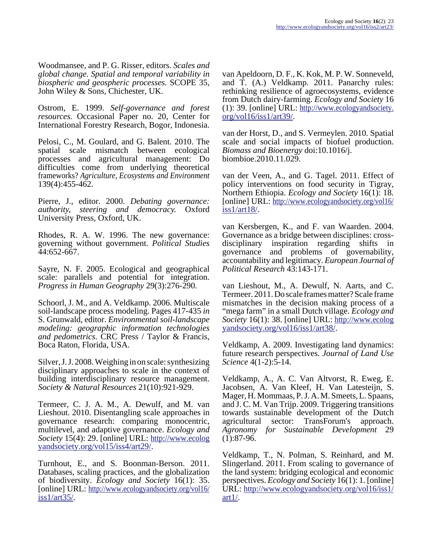Woodmansee, and P. G. Risser, editors. *Scales and global change. Spatial and temporal variability in biospheric and geospheric processes.* SCOPE 35, John Wiley & Sons, Chichester, UK.

Ostrom, E. 1999. *Self-governance and forest resources.* Occasional Paper no. 20, Center for International Forestry Research, Bogor, Indonesia.

Pelosi, C., M. Goulard, and G. Balent. 2010. The spatial scale mismatch between ecological processes and agricultural management: Do difficulties come from underlying theoretical frameworks? *Agriculture, Ecosystems and Environment* 139(4):455-462.

Pierre, J., editor. 2000. *Debating governance: authority, steering and democracy.* Oxford University Press, Oxford, UK.

Rhodes, R. A. W. 1996. The new governance: governing without government. *Political Studies* 44:652-667.

Sayre, N. F. 2005. Ecological and geographical scale: parallels and potential for integration. *Progress in Human Geography* 29(3):276-290.

Schoorl, J. M., and A. Veldkamp. 2006. Multiscale soil-landscape process modeling. Pages 417-435 *in* S. Grunwald, editor. *Environmental soil-landscape modeling: geographic information technologies and pedometrics*. CRC Press / Taylor & Francis, Boca Raton, Florida, USA.

Silver, J. J. 2008. Weighing in on scale: synthesizing disciplinary approaches to scale in the context of building interdisciplinary resource management. *Society & Natural Resources* 21(10):921-929.

Termeer, C. J. A. M., A. Dewulf, and M. van Lieshout. 2010. Disentangling scale approaches in governance research: comparing monocentric, multilevel, and adaptive governance. *Ecology and Society* 15(4): 29. [online] URL: [http://www.ecolog](http://www.ecologyandsociety.org/vol15/iss4/art29/) [yandsociety.org/vol15/iss4/art29/](http://www.ecologyandsociety.org/vol15/iss4/art29/).

Turnhout, E., and S. Boonman-Berson. 2011. Databases, scaling practices, and the globalization of biodiversity. *Ecology and Society* 16(1): 35. [online] URL: [http://www.ecologyandsociety.org/vol16/](http://www.ecologyandsociety.org/vol16/iss1/art35/) [iss1/art35/](http://www.ecologyandsociety.org/vol16/iss1/art35/).

van Apeldoorn, D. F., K. Kok, M. P. W. Sonneveld, and T. (A.) Veldkamp. 2011. Panarchy rules: rethinking resilience of agroecosystems, evidence from Dutch dairy-farming. *Ecology and Society* 16 (1): 39. [online] URL: [http://www.ecologyandsociety.](http://www.ecologyandsociety.org/vol16/iss1/art39/) [org/vol16/iss1/art39/](http://www.ecologyandsociety.org/vol16/iss1/art39/).

van der Horst, D., and S. Vermeylen. 2010. Spatial scale and social impacts of biofuel production. *Biomass and Bioenergy* doi:10.1016/j. biombioe.2010.11.029.

van der Veen, A., and G. Tagel. 2011. Effect of policy interventions on food security in Tigray, Northern Ethiopia. *Ecology and Society* 16(1): 18. [online] URL: [http://www.ecologyandsociety.org/vol16/](http://www.ecologyandsociety.org/vol16/iss1/art18/) [iss1/art18/](http://www.ecologyandsociety.org/vol16/iss1/art18/).

van Kersbergen, K., and F. van Waarden. 2004. Governance as a bridge between disciplines: crossdisciplinary inspiration regarding shifts in governance and problems of governability, accountability and legitimacy. *European Journal of Political Research* 43:143-171.

van Lieshout, M., A. Dewulf, N. Aarts, and C. Termeer. 2011. Do scale frames matter? Scale frame mismatches in the decision making process of a "mega farm" in a small Dutch village. *Ecology and Society* 16(1): 38. [online] URL: [http://www.ecolog](http://www.ecologyandsociety.org/vol16/iss1/art38/) [yandsociety.org/vol16/iss1/art38/](http://www.ecologyandsociety.org/vol16/iss1/art38/).

Veldkamp, A. 2009. Investigating land dynamics: future research perspectives. *Journal of Land Use Science* 4(1-2):5-14.

Veldkamp, A., A. C. Van Altvorst, R. Eweg, E. Jacobsen, A. Van Kleef, H. Van Latesteijn, S. Mager, H. Mommaas, P. J. A. M. Smeets, L. Spaans, and J. C. M. Van Trijp. 2009. Triggering transitions towards sustainable development of the Dutch agricultural sector: TransForum's approach. *Agronomy for Sustainable Development* 29  $(1):87-96.$ 

Veldkamp, T., N. Polman, S. Reinhard, and M. Slingerland. 2011. From scaling to governance of the land system: bridging ecological and economic perspectives. *Ecology and Society* 16(1): 1. [online] URL: [http://www.ecologyandsociety.org/vol16/iss1/](http://www.ecologyandsociety.org/vol16/iss1/art1/) [art1/.](http://www.ecologyandsociety.org/vol16/iss1/art1/)